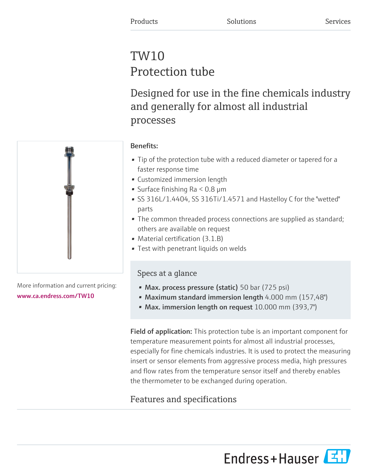# TW10 Protection tube

Designed for use in the fine chemicals industry and generally for almost all industrial processes



More information and current pricing: [www.ca.endress.com/TW10](https://www.ca.endress.com/TW10)

# Benefits:

- Tip of the protection tube with a reduced diameter or tapered for a faster response time
- Customized immersion length
- Surface finishing  $Ra < 0.8 \mu m$
- SS 316L/1.4404, SS 316Ti/1.4571 and Hastelloy C for the "wetted" parts
- The common threaded process connections are supplied as standard; others are available on request
- Material certification (3.1.B)
- Test with penetrant liquids on welds

# Specs at a glance

- Max. process pressure (static) 50 bar (725 psi)
- Maximum standard immersion length 4.000 mm (157,48")
- Max. immersion length on request 10.000 mm (393,7")

Field of application: This protection tube is an important component for temperature measurement points for almost all industrial processes, especially for fine chemicals industries. It is used to protect the measuring insert or sensor elements from aggressive process media, high pressures and flow rates from the temperature sensor itself and thereby enables the thermometer to be exchanged during operation.

# Features and specifications

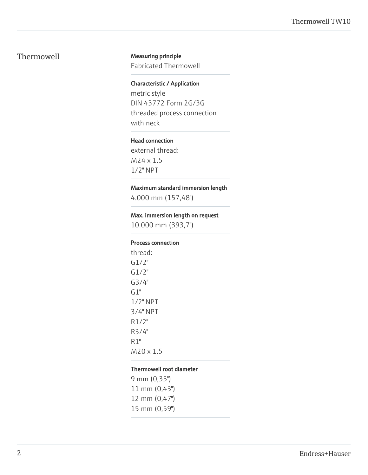#### Thermowell Measuring principle

Fabricated Thermowell

#### Characteristic / Application

metric style DIN 43772 Form 2G/3G threaded process connection with neck

#### Head connection

external thread: M24 x 1.5 1/2" NPT

#### Maximum standard immersion length

4.000 mm (157,48")

#### Max. immersion length on request

10.000 mm (393,7")

#### Process connection

thread: G1/2" G1/2" G3/4" G1" 1/2" NPT 3/4" NPT R1/2" R3/4" R1" M20 x 1.5

#### Thermowell root diameter

9 mm (0,35") 11 mm (0,43") 12 mm (0,47") 15 mm (0,59")